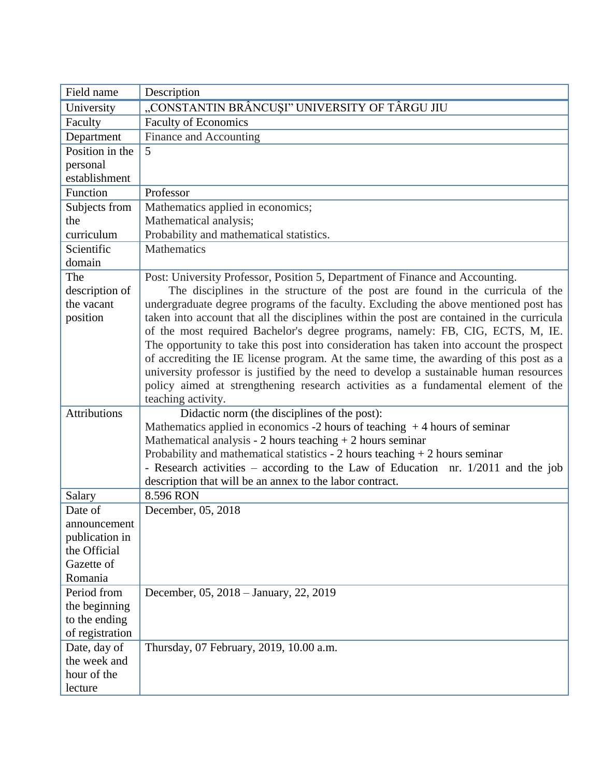| Field name          | Description                                                                                                                                  |
|---------------------|----------------------------------------------------------------------------------------------------------------------------------------------|
| University          | "CONSTANTIN BRÂNCUȘI" UNIVERSITY OF TÂRGU JIU                                                                                                |
| Faculty             | <b>Faculty of Economics</b>                                                                                                                  |
| Department          | Finance and Accounting                                                                                                                       |
| Position in the     | 5                                                                                                                                            |
| personal            |                                                                                                                                              |
| establishment       |                                                                                                                                              |
| Function            | Professor                                                                                                                                    |
| Subjects from       | Mathematics applied in economics;                                                                                                            |
| the                 | Mathematical analysis;                                                                                                                       |
| curriculum          | Probability and mathematical statistics.                                                                                                     |
| Scientific          | <b>Mathematics</b>                                                                                                                           |
| domain              |                                                                                                                                              |
| The                 | Post: University Professor, Position 5, Department of Finance and Accounting.                                                                |
| description of      | The disciplines in the structure of the post are found in the curricula of the                                                               |
| the vacant          | undergraduate degree programs of the faculty. Excluding the above mentioned post has                                                         |
| position            | taken into account that all the disciplines within the post are contained in the curricula                                                   |
|                     | of the most required Bachelor's degree programs, namely: FB, CIG, ECTS, M, IE.                                                               |
|                     | The opportunity to take this post into consideration has taken into account the prospect                                                     |
|                     | of accrediting the IE license program. At the same time, the awarding of this post as a                                                      |
|                     | university professor is justified by the need to develop a sustainable human resources                                                       |
|                     | policy aimed at strengthening research activities as a fundamental element of the                                                            |
|                     | teaching activity.                                                                                                                           |
| <b>Attributions</b> | Didactic norm (the disciplines of the post):                                                                                                 |
|                     | Mathematics applied in economics -2 hours of teaching $+4$ hours of seminar                                                                  |
|                     | Mathematical analysis - 2 hours teaching $+ 2$ hours seminar                                                                                 |
|                     | Probability and mathematical statistics - $2$ hours teaching + $2$ hours seminar                                                             |
|                     | - Research activities – according to the Law of Education nr. 1/2011 and the job<br>description that will be an annex to the labor contract. |
| Salary              | 8.596 RON                                                                                                                                    |
| Date of             | December, 05, 2018                                                                                                                           |
| announcement        |                                                                                                                                              |
| publication in      |                                                                                                                                              |
| the Official        |                                                                                                                                              |
| Gazette of          |                                                                                                                                              |
| Romania             |                                                                                                                                              |
| Period from         | December, 05, 2018 – January, 22, 2019                                                                                                       |
| the beginning       |                                                                                                                                              |
| to the ending       |                                                                                                                                              |
| of registration     |                                                                                                                                              |
| Date, day of        | Thursday, 07 February, 2019, 10.00 a.m.                                                                                                      |
| the week and        |                                                                                                                                              |
| hour of the         |                                                                                                                                              |
|                     |                                                                                                                                              |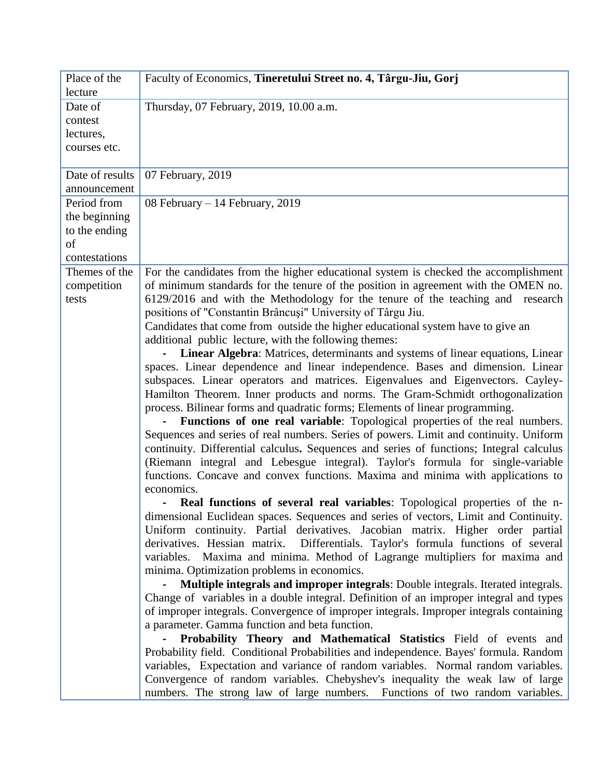| Place of the<br>lecture                                              | Faculty of Economics, Tineretului Street no. 4, Târgu-Jiu, Gorj                                                                                                                                                                                                                                                                                                                                                                                                                                                                                                                                                                                                                                                                                                                                                                                                                                                                                                                                                                                                                                                                                                                                                                                                                                                                                                                                                                                                                                                                                                                                                                                                                                                                                                                                                                                                                                                                                                                                                                                                                                                                                                                                                                                                                                                                                                                                                                                                                                                                                                                         |
|----------------------------------------------------------------------|-----------------------------------------------------------------------------------------------------------------------------------------------------------------------------------------------------------------------------------------------------------------------------------------------------------------------------------------------------------------------------------------------------------------------------------------------------------------------------------------------------------------------------------------------------------------------------------------------------------------------------------------------------------------------------------------------------------------------------------------------------------------------------------------------------------------------------------------------------------------------------------------------------------------------------------------------------------------------------------------------------------------------------------------------------------------------------------------------------------------------------------------------------------------------------------------------------------------------------------------------------------------------------------------------------------------------------------------------------------------------------------------------------------------------------------------------------------------------------------------------------------------------------------------------------------------------------------------------------------------------------------------------------------------------------------------------------------------------------------------------------------------------------------------------------------------------------------------------------------------------------------------------------------------------------------------------------------------------------------------------------------------------------------------------------------------------------------------------------------------------------------------------------------------------------------------------------------------------------------------------------------------------------------------------------------------------------------------------------------------------------------------------------------------------------------------------------------------------------------------------------------------------------------------------------------------------------------------|
| Date of<br>contest<br>lectures,<br>courses etc.                      | Thursday, 07 February, 2019, 10.00 a.m.                                                                                                                                                                                                                                                                                                                                                                                                                                                                                                                                                                                                                                                                                                                                                                                                                                                                                                                                                                                                                                                                                                                                                                                                                                                                                                                                                                                                                                                                                                                                                                                                                                                                                                                                                                                                                                                                                                                                                                                                                                                                                                                                                                                                                                                                                                                                                                                                                                                                                                                                                 |
| Date of results<br>announcement                                      | 07 February, 2019                                                                                                                                                                                                                                                                                                                                                                                                                                                                                                                                                                                                                                                                                                                                                                                                                                                                                                                                                                                                                                                                                                                                                                                                                                                                                                                                                                                                                                                                                                                                                                                                                                                                                                                                                                                                                                                                                                                                                                                                                                                                                                                                                                                                                                                                                                                                                                                                                                                                                                                                                                       |
| Period from<br>the beginning<br>to the ending<br>of<br>contestations | 08 February $-14$ February, 2019                                                                                                                                                                                                                                                                                                                                                                                                                                                                                                                                                                                                                                                                                                                                                                                                                                                                                                                                                                                                                                                                                                                                                                                                                                                                                                                                                                                                                                                                                                                                                                                                                                                                                                                                                                                                                                                                                                                                                                                                                                                                                                                                                                                                                                                                                                                                                                                                                                                                                                                                                        |
| Themes of the<br>competition<br>tests                                | For the candidates from the higher educational system is checked the accomplishment<br>of minimum standards for the tenure of the position in agreement with the OMEN no.<br>6129/2016 and with the Methodology for the tenure of the teaching and research<br>positions of "Constantin Brâncuși" University of Târgu Jiu.<br>Candidates that come from outside the higher educational system have to give an<br>additional public lecture, with the following themes:<br>Linear Algebra: Matrices, determinants and systems of linear equations, Linear<br>spaces. Linear dependence and linear independence. Bases and dimension. Linear<br>subspaces. Linear operators and matrices. Eigenvalues and Eigenvectors. Cayley-<br>Hamilton Theorem. Inner products and norms. The Gram-Schmidt orthogonalization<br>process. Bilinear forms and quadratic forms; Elements of linear programming.<br>Functions of one real variable: Topological properties of the real numbers.<br>Sequences and series of real numbers. Series of powers. Limit and continuity. Uniform<br>continuity. Differential calculus. Sequences and series of functions; Integral calculus<br>(Riemann integral and Lebesgue integral). Taylor's formula for single-variable<br>functions. Concave and convex functions. Maxima and minima with applications to<br>economics.<br><b>Real functions of several real variables:</b> Topological properties of the n-<br>dimensional Euclidean spaces. Sequences and series of vectors, Limit and Continuity.<br>Uniform continuity. Partial derivatives. Jacobian matrix. Higher order partial<br>derivatives. Hessian matrix. Differentials. Taylor's formula functions of several<br>variables. Maxima and minima. Method of Lagrange multipliers for maxima and<br>minima. Optimization problems in economics.<br>Multiple integrals and improper integrals: Double integrals. Iterated integrals.<br>Change of variables in a double integral. Definition of an improper integral and types<br>of improper integrals. Convergence of improper integrals. Improper integrals containing<br>a parameter. Gamma function and beta function.<br>Probability Theory and Mathematical Statistics Field of events and<br>Probability field. Conditional Probabilities and independence. Bayes' formula. Random<br>variables, Expectation and variance of random variables. Normal random variables.<br>Convergence of random variables. Chebyshev's inequality the weak law of large<br>numbers. The strong law of large numbers. Functions of two random variables. |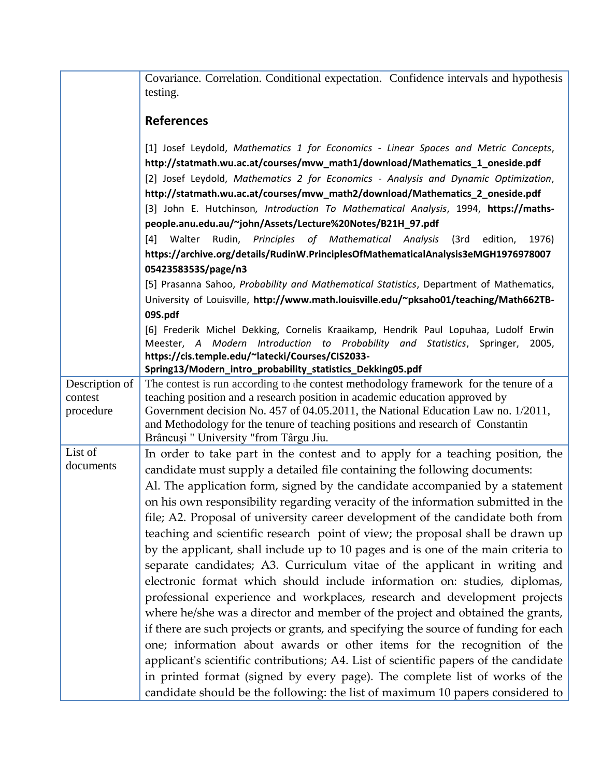|                      | Covariance. Correlation. Conditional expectation. Confidence intervals and hypothesis<br>testing.                                                                    |
|----------------------|----------------------------------------------------------------------------------------------------------------------------------------------------------------------|
|                      | <b>References</b>                                                                                                                                                    |
|                      | [1] Josef Leydold, Mathematics 1 for Economics - Linear Spaces and Metric Concepts,<br>http://statmath.wu.ac.at/courses/mvw_math1/download/Mathematics_1_oneside.pdf |
|                      | [2] Josef Leydold, Mathematics 2 for Economics - Analysis and Dynamic Optimization,                                                                                  |
|                      | http://statmath.wu.ac.at/courses/mvw_math2/download/Mathematics_2_oneside.pdf                                                                                        |
|                      | [3] John E. Hutchinson, Introduction To Mathematical Analysis, 1994, https://maths-                                                                                  |
|                      | people.anu.edu.au/~john/Assets/Lecture%20Notes/B21H_97.pdf                                                                                                           |
|                      | Rudin, Principles of Mathematical Analysis<br>[4] Walter<br>(3rd<br>edition,<br>1976)                                                                                |
|                      | https://archive.org/details/RudinW.PrinciplesOfMathematicalAnalysis3eMGH1976978007                                                                                   |
|                      | 0542358353S/page/n3                                                                                                                                                  |
|                      | [5] Prasanna Sahoo, Probability and Mathematical Statistics, Department of Mathematics,                                                                              |
|                      | University of Louisville, http://www.math.louisville.edu/~pksaho01/teaching/Math662TB-                                                                               |
|                      | 09S.pdf                                                                                                                                                              |
|                      | [6] Frederik Michel Dekking, Cornelis Kraaikamp, Hendrik Paul Lopuhaa, Ludolf Erwin                                                                                  |
|                      | Meester, A Modern Introduction to Probability and Statistics, Springer,<br>2005,                                                                                     |
|                      | https://cis.temple.edu/~latecki/Courses/CIS2033-<br>Spring13/Modern_intro_probability_statistics_Dekking05.pdf                                                       |
| Description of       | The contest is run according to the contest methodology framework for the tenure of a                                                                                |
| contest              | teaching position and a research position in academic education approved by                                                                                          |
| procedure            | Government decision No. 457 of 04.05.2011, the National Education Law no. 1/2011,                                                                                    |
|                      | and Methodology for the tenure of teaching positions and research of Constantin                                                                                      |
|                      | Brâncuși " University "from Târgu Jiu.                                                                                                                               |
| List of<br>documents | In order to take part in the contest and to apply for a teaching position, the                                                                                       |
|                      | candidate must supply a detailed file containing the following documents:                                                                                            |
|                      | Al. The application form, signed by the candidate accompanied by a statement                                                                                         |
|                      | on his own responsibility regarding veracity of the information submitted in the                                                                                     |
|                      | file; A2. Proposal of university career development of the candidate both from                                                                                       |
|                      | teaching and scientific research point of view; the proposal shall be drawn up                                                                                       |
|                      | by the applicant, shall include up to 10 pages and is one of the main criteria to                                                                                    |
|                      | separate candidates; A3. Curriculum vitae of the applicant in writing and                                                                                            |
|                      | electronic format which should include information on: studies, diplomas,                                                                                            |
|                      | professional experience and workplaces, research and development projects                                                                                            |
|                      | where he/she was a director and member of the project and obtained the grants,                                                                                       |
|                      | if there are such projects or grants, and specifying the source of funding for each                                                                                  |
|                      | one; information about awards or other items for the recognition of the                                                                                              |
|                      | applicant's scientific contributions; A4. List of scientific papers of the candidate                                                                                 |
|                      | in printed format (signed by every page). The complete list of works of the                                                                                          |
|                      | candidate should be the following: the list of maximum 10 papers considered to                                                                                       |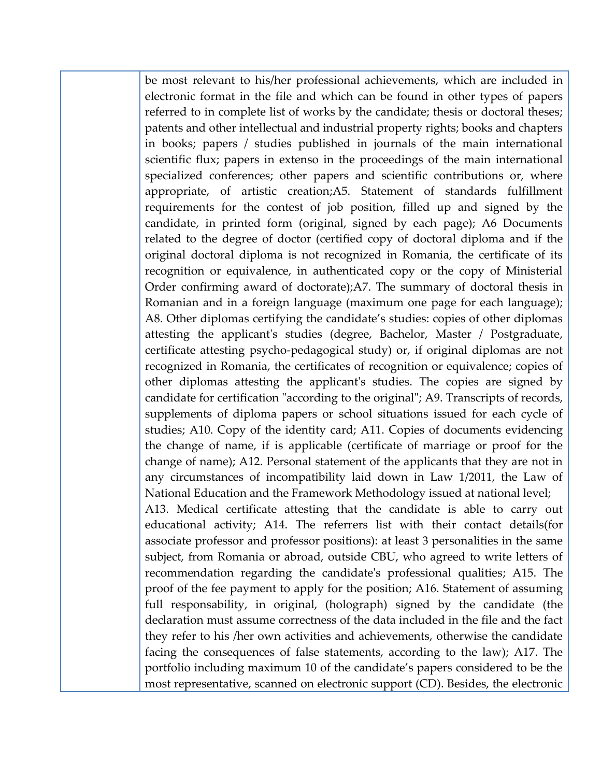be most relevant to his/her professional achievements, which are included in electronic format in the file and which can be found in other types of papers referred to in complete list of works by the candidate; thesis or doctoral theses; patents and other intellectual and industrial property rights; books and chapters in books; papers / studies published in journals of the main international scientific flux; papers in extenso in the proceedings of the main international specialized conferences; other papers and scientific contributions or, where appropriate, of artistic creation;A5. Statement of standards fulfillment requirements for the contest of job position, filled up and signed by the candidate, in printed form (original, signed by each page); A6 Documents related to the degree of doctor (certified copy of doctoral diploma and if the original doctoral diploma is not recognized in Romania, the certificate of its recognition or equivalence, in authenticated copy or the copy of Ministerial Order confirming award of doctorate);A7. The summary of doctoral thesis in Romanian and in a foreign language (maximum one page for each language); A8. Other diplomas certifying the candidate's studies: copies of other diplomas attesting the applicant's studies (degree, Bachelor, Master / Postgraduate, certificate attesting psycho-pedagogical study) or, if original diplomas are not recognized in Romania, the certificates of recognition or equivalence; copies of other diplomas attesting the applicant's studies. The copies are signed by candidate for certification "according to the original"; A9. Transcripts of records, supplements of diploma papers or school situations issued for each cycle of studies; A10. Copy of the identity card; A11. Copies of documents evidencing the change of name, if is applicable (certificate of marriage or proof for the change of name); A12. Personal statement of the applicants that they are not in any circumstances of incompatibility laid down in Law 1/2011, the Law of National Education and the Framework Methodology issued at national level; A13. Medical certificate attesting that the candidate is able to carry out educational activity; A14. The referrers list with their contact details(for associate professor and professor positions): at least 3 personalities in the same subject, from Romania or abroad, outside CBU, who agreed to write letters of recommendation regarding the candidate's professional qualities; A15. The proof of the fee payment to apply for the position; A16. Statement of assuming full responsability, in original, (holograph) signed by the candidate (the declaration must assume correctness of the data included in the file and the fact they refer to his /her own activities and achievements, otherwise the candidate facing the consequences of false statements, according to the law); A17. The portfolio including maximum 10 of the candidate's papers considered to be the most representative, scanned on electronic support (CD). Besides, the electronic